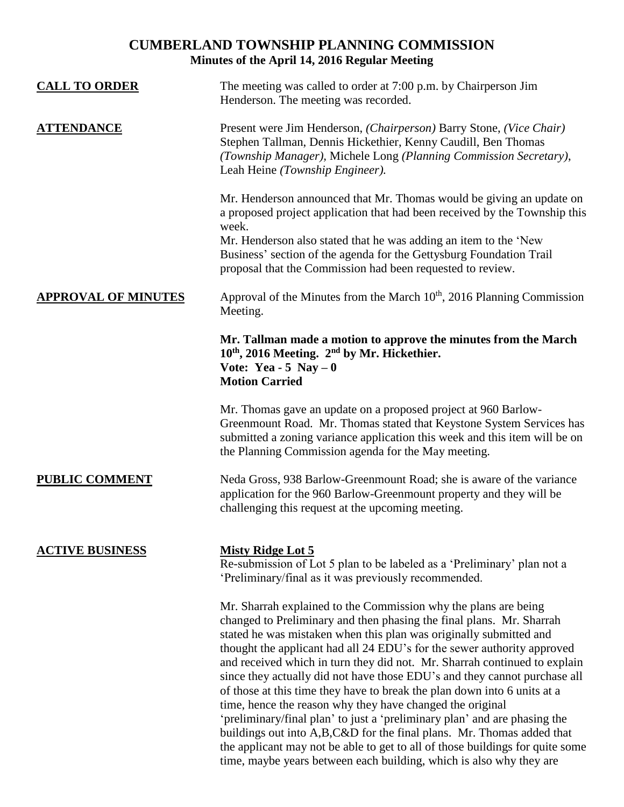# **CUMBERLAND TOWNSHIP PLANNING COMMISSION Minutes of the April 14, 2016 Regular Meeting**

| <b>CALL TO ORDER</b>       | The meeting was called to order at 7:00 p.m. by Chairperson Jim<br>Henderson. The meeting was recorded.                                                                                                                                                                                                                                                                                                                                                                                                                                                                                                                                                                                                                                                                                                                                                                                                   |
|----------------------------|-----------------------------------------------------------------------------------------------------------------------------------------------------------------------------------------------------------------------------------------------------------------------------------------------------------------------------------------------------------------------------------------------------------------------------------------------------------------------------------------------------------------------------------------------------------------------------------------------------------------------------------------------------------------------------------------------------------------------------------------------------------------------------------------------------------------------------------------------------------------------------------------------------------|
| <u>ATTENDANCE</u>          | Present were Jim Henderson, (Chairperson) Barry Stone, (Vice Chair)<br>Stephen Tallman, Dennis Hickethier, Kenny Caudill, Ben Thomas<br>(Township Manager), Michele Long (Planning Commission Secretary),<br>Leah Heine (Township Engineer).                                                                                                                                                                                                                                                                                                                                                                                                                                                                                                                                                                                                                                                              |
|                            | Mr. Henderson announced that Mr. Thomas would be giving an update on<br>a proposed project application that had been received by the Township this<br>week.<br>Mr. Henderson also stated that he was adding an item to the 'New<br>Business' section of the agenda for the Gettysburg Foundation Trail<br>proposal that the Commission had been requested to review.                                                                                                                                                                                                                                                                                                                                                                                                                                                                                                                                      |
| <b>APPROVAL OF MINUTES</b> | Approval of the Minutes from the March 10 <sup>th</sup> , 2016 Planning Commission<br>Meeting.                                                                                                                                                                                                                                                                                                                                                                                                                                                                                                                                                                                                                                                                                                                                                                                                            |
|                            | Mr. Tallman made a motion to approve the minutes from the March<br>10 <sup>th</sup> , 2016 Meeting. 2 <sup>nd</sup> by Mr. Hickethier.<br>Vote: Yea - 5 Nay $-0$<br><b>Motion Carried</b>                                                                                                                                                                                                                                                                                                                                                                                                                                                                                                                                                                                                                                                                                                                 |
|                            | Mr. Thomas gave an update on a proposed project at 960 Barlow-<br>Greenmount Road. Mr. Thomas stated that Keystone System Services has<br>submitted a zoning variance application this week and this item will be on<br>the Planning Commission agenda for the May meeting.                                                                                                                                                                                                                                                                                                                                                                                                                                                                                                                                                                                                                               |
| <b>PUBLIC COMMENT</b>      | Neda Gross, 938 Barlow-Greenmount Road; she is aware of the variance<br>application for the 960 Barlow-Greenmount property and they will be<br>challenging this request at the upcoming meeting.                                                                                                                                                                                                                                                                                                                                                                                                                                                                                                                                                                                                                                                                                                          |
| <b>ACTIVE BUSINESS</b>     | <b>Misty Ridge Lot 5</b><br>Re-submission of Lot 5 plan to be labeled as a 'Preliminary' plan not a<br>'Preliminary/final as it was previously recommended.                                                                                                                                                                                                                                                                                                                                                                                                                                                                                                                                                                                                                                                                                                                                               |
|                            | Mr. Sharrah explained to the Commission why the plans are being<br>changed to Preliminary and then phasing the final plans. Mr. Sharrah<br>stated he was mistaken when this plan was originally submitted and<br>thought the applicant had all 24 EDU's for the sewer authority approved<br>and received which in turn they did not. Mr. Sharrah continued to explain<br>since they actually did not have those EDU's and they cannot purchase all<br>of those at this time they have to break the plan down into 6 units at a<br>time, hence the reason why they have changed the original<br>'preliminary/final plan' to just a 'preliminary plan' and are phasing the<br>buildings out into A,B,C&D for the final plans. Mr. Thomas added that<br>the applicant may not be able to get to all of those buildings for quite some<br>time, maybe years between each building, which is also why they are |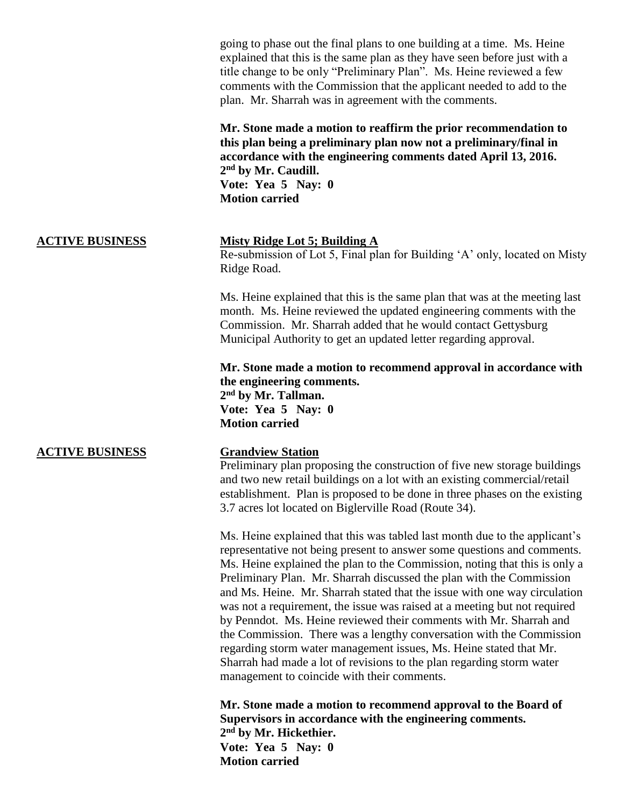going to phase out the final plans to one building at a time. Ms. Heine explained that this is the same plan as they have seen before just with a title change to be only "Preliminary Plan". Ms. Heine reviewed a few comments with the Commission that the applicant needed to add to the plan. Mr. Sharrah was in agreement with the comments.

**Mr. Stone made a motion to reaffirm the prior recommendation to this plan being a preliminary plan now not a preliminary/final in accordance with the engineering comments dated April 13, 2016. 2 nd by Mr. Caudill. Vote: Yea 5 Nay: 0 Motion carried** 

### **ACTIVE BUSINESS Misty Ridge Lot 5; Building A**

Re-submission of Lot 5, Final plan for Building 'A' only, located on Misty Ridge Road.

Ms. Heine explained that this is the same plan that was at the meeting last month. Ms. Heine reviewed the updated engineering comments with the Commission. Mr. Sharrah added that he would contact Gettysburg Municipal Authority to get an updated letter regarding approval.

**Mr. Stone made a motion to recommend approval in accordance with the engineering comments. 2 nd by Mr. Tallman. Vote: Yea 5 Nay: 0 Motion carried**

### **ACTIVE BUSINESS Grandview Station**

Preliminary plan proposing the construction of five new storage buildings and two new retail buildings on a lot with an existing commercial/retail establishment. Plan is proposed to be done in three phases on the existing 3.7 acres lot located on Biglerville Road (Route 34).

Ms. Heine explained that this was tabled last month due to the applicant's representative not being present to answer some questions and comments. Ms. Heine explained the plan to the Commission, noting that this is only a Preliminary Plan. Mr. Sharrah discussed the plan with the Commission and Ms. Heine. Mr. Sharrah stated that the issue with one way circulation was not a requirement, the issue was raised at a meeting but not required by Penndot. Ms. Heine reviewed their comments with Mr. Sharrah and the Commission. There was a lengthy conversation with the Commission regarding storm water management issues, Ms. Heine stated that Mr. Sharrah had made a lot of revisions to the plan regarding storm water management to coincide with their comments.

**Mr. Stone made a motion to recommend approval to the Board of Supervisors in accordance with the engineering comments. 2 nd by Mr. Hickethier. Vote: Yea 5 Nay: 0 Motion carried**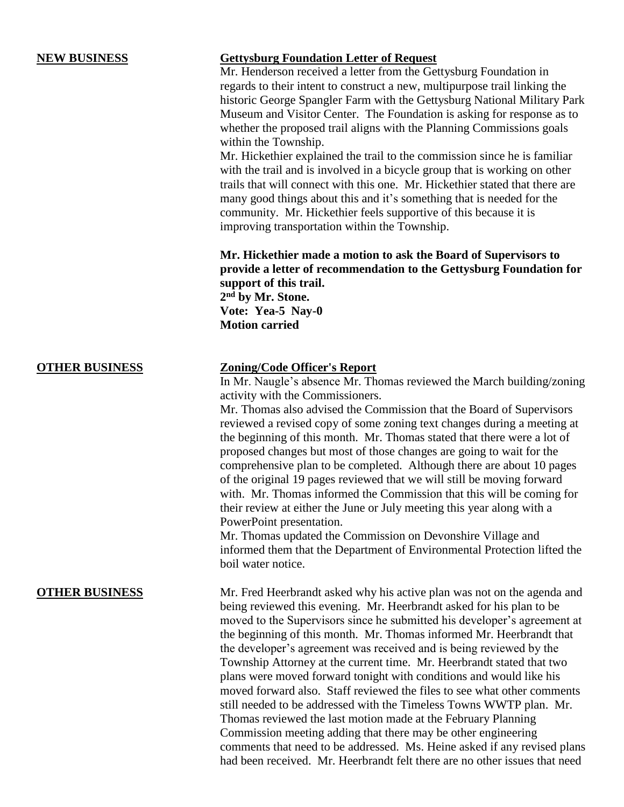# **NEW BUSINESS Gettysburg Foundation Letter of Request**

Mr. Henderson received a letter from the Gettysburg Foundation in regards to their intent to construct a new, multipurpose trail linking the historic George Spangler Farm with the Gettysburg National Military Park Museum and Visitor Center. The Foundation is asking for response as to whether the proposed trail aligns with the Planning Commissions goals within the Township.

Mr. Hickethier explained the trail to the commission since he is familiar with the trail and is involved in a bicycle group that is working on other trails that will connect with this one. Mr. Hickethier stated that there are many good things about this and it's something that is needed for the community. Mr. Hickethier feels supportive of this because it is improving transportation within the Township.

**Mr. Hickethier made a motion to ask the Board of Supervisors to provide a letter of recommendation to the Gettysburg Foundation for support of this trail. 2 nd by Mr. Stone. Vote: Yea-5 Nay-0 Motion carried** 

## **OTHER BUSINESS Zoning/Code Officer's Report**

In Mr. Naugle's absence Mr. Thomas reviewed the March building/zoning activity with the Commissioners.

Mr. Thomas also advised the Commission that the Board of Supervisors reviewed a revised copy of some zoning text changes during a meeting at the beginning of this month. Mr. Thomas stated that there were a lot of proposed changes but most of those changes are going to wait for the comprehensive plan to be completed. Although there are about 10 pages of the original 19 pages reviewed that we will still be moving forward with. Mr. Thomas informed the Commission that this will be coming for their review at either the June or July meeting this year along with a PowerPoint presentation.

Mr. Thomas updated the Commission on Devonshire Village and informed them that the Department of Environmental Protection lifted the boil water notice.

**OTHER BUSINESS** Mr. Fred Heerbrandt asked why his active plan was not on the agenda and being reviewed this evening. Mr. Heerbrandt asked for his plan to be moved to the Supervisors since he submitted his developer's agreement at the beginning of this month. Mr. Thomas informed Mr. Heerbrandt that the developer's agreement was received and is being reviewed by the Township Attorney at the current time. Mr. Heerbrandt stated that two plans were moved forward tonight with conditions and would like his moved forward also. Staff reviewed the files to see what other comments still needed to be addressed with the Timeless Towns WWTP plan. Mr. Thomas reviewed the last motion made at the February Planning Commission meeting adding that there may be other engineering comments that need to be addressed. Ms. Heine asked if any revised plans had been received. Mr. Heerbrandt felt there are no other issues that need